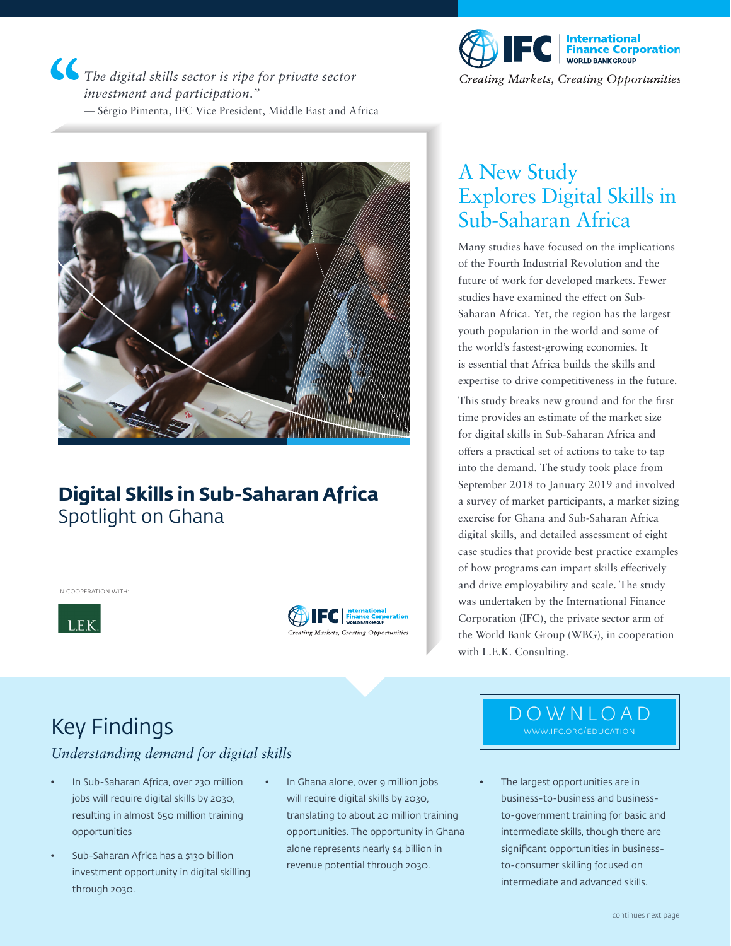*The digital skills sector is ripe for private sector investment and participation."* — Sérgio Pimenta, IFC Vice President, Middle East and Africa



### **Digital Skills in Sub-Saharan Africa** Spotlight on Ghana

IN COOPERATION WITH:







Creating Markets, Creating Opportunities

### A New Study Explores Digital Skills in Sub-Saharan Africa

Many studies have focused on the implications of the Fourth Industrial Revolution and the future of work for developed markets. Fewer studies have examined the effect on Sub-Saharan Africa. Yet, the region has the largest youth population in the world and some of the world's fastest-growing economies. It is essential that Africa builds the skills and expertise to drive competitiveness in the future.

This study breaks new ground and for the first time provides an estimate of the market size for digital skills in Sub-Saharan Africa and offers a practical set of actions to take to tap into the demand. The study took place from September 2018 to January 2019 and involved a survey of market participants, a market sizing exercise for Ghana and Sub-Saharan Africa digital skills, and detailed assessment of eight case studies that provide best practice examples of how programs can impart skills effectively and drive employability and scale. The study was undertaken by the International Finance Corporation (IFC), the private sector arm of the World Bank Group (WBG), in cooperation with L.E.K. Consulting.

## Key Findings

### *Understanding demand for digital skills*

- In Sub-Saharan Africa, over 230 million jobs will require digital skills by 2030, resulting in almost 650 million training opportunities
- Sub-Saharan Africa has a \$130 billion investment opportunity in digital skilling through 2030.
- In Ghana alone, over 9 million jobs will require digital skills by 2030, translating to about 20 million training opportunities. The opportunity in Ghana alone represents nearly \$4 billion in revenue potential through 2030.

### DOWNLOAD www.ifc.org/education

The largest opportunities are in business-to-business and businessto-government training for basic and intermediate skills, though there are significant opportunities in businessto-consumer skilling focused on intermediate and advanced skills.